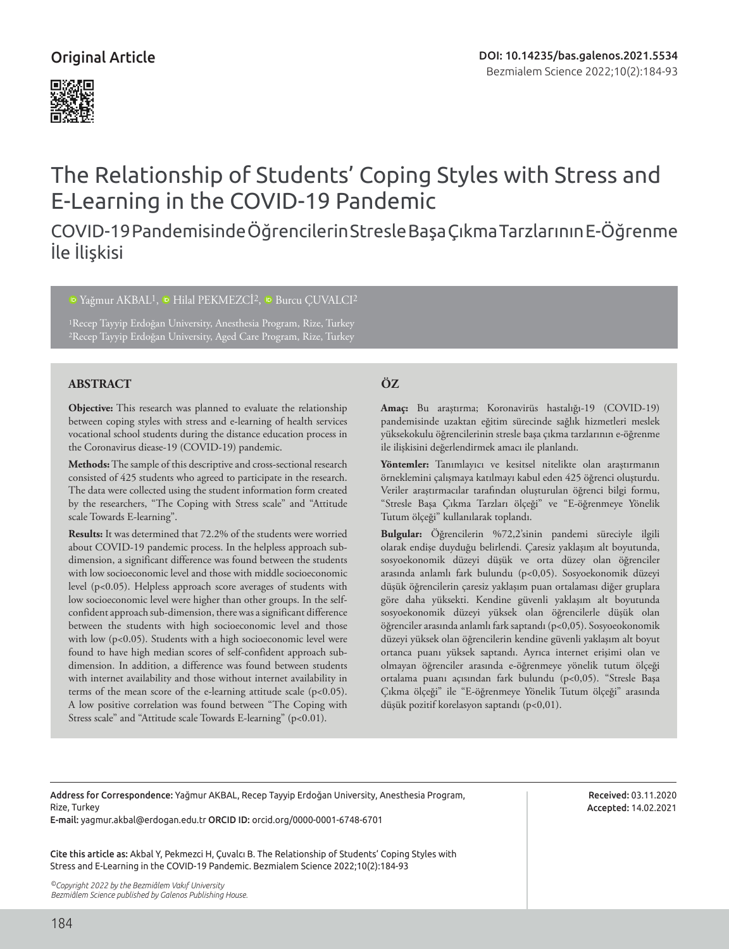

# The Relationship of Students' Coping Styles with Stress and E-Learning in the COVID-19 Pandemic

# COVID-19 Pandemisinde Öğrencilerin Stresle Başa Çıkma Tarzlarının E-Öğrenme İle İlişkisi

<sup>1</sup>Yağmur AKBAL<sup>1</sup>, **D** Hilal PEKMEZCİ<sup>2</sup>, **D** Burcu CUVALCI<sup>2</sup>

1Recep Tayyip Erdoğan University, Anesthesia Program, Rize, Turkey 2Recep Tayyip Erdoğan University, Aged Care Program, Rize, Turkey

# **ABSTRACT ÖZ**

**Objective:** This research was planned to evaluate the relationship between coping styles with stress and e-learning of health services vocational school students during the distance education process in the Coronavirus diease-19 (COVID-19) pandemic.

**Methods:** The sample of this descriptive and cross-sectional research consisted of 425 students who agreed to participate in the research. The data were collected using the student information form created by the researchers, "The Coping with Stress scale" and "Attitude scale Towards E-learning".

**Results:** It was determined that 72.2% of the students were worried about COVID-19 pandemic process. In the helpless approach subdimension, a significant difference was found between the students with low socioeconomic level and those with middle socioeconomic level (p<0.05). Helpless approach score averages of students with low socioeconomic level were higher than other groups. In the selfconfident approach sub-dimension, there was a significant difference between the students with high socioeconomic level and those with low (p<0.05). Students with a high socioeconomic level were found to have high median scores of self-confident approach subdimension. In addition, a difference was found between students with internet availability and those without internet availability in terms of the mean score of the e-learning attitude scale (p<0.05). A low positive correlation was found between "The Coping with Stress scale" and "Attitude scale Towards E-learning" (p<0.01).

**Amaç:** Bu araştırma; Koronavirüs hastalığı-19 (COVID-19) pandemisinde uzaktan eğitim sürecinde sağlık hizmetleri meslek yüksekokulu öğrencilerinin stresle başa çıkma tarzlarının e-öğrenme ile ilişkisini değerlendirmek amacı ile planlandı.

**Yöntemler:** Tanımlayıcı ve kesitsel nitelikte olan araştırmanın örneklemini çalışmaya katılmayı kabul eden 425 öğrenci oluşturdu. Veriler araştırmacılar tarafından oluşturulan öğrenci bilgi formu, "Stresle Başa Çıkma Tarzları ölçeği" ve "E-öğrenmeye Yönelik Tutum ölçeği" kullanılarak toplandı.

**Bulgular:** Öğrencilerin %72,2'sinin pandemi süreciyle ilgili olarak endişe duyduğu belirlendi. Çaresiz yaklaşım alt boyutunda, sosyoekonomik düzeyi düşük ve orta düzey olan öğrenciler arasında anlamlı fark bulundu (p<0,05). Sosyoekonomik düzeyi düşük öğrencilerin çaresiz yaklaşım puan ortalaması diğer gruplara göre daha yüksekti. Kendine güvenli yaklaşım alt boyutunda sosyoekonomik düzeyi yüksek olan öğrencilerle düşük olan öğrenciler arasında anlamlı fark saptandı (p<0,05). Sosyoeokonomik düzeyi yüksek olan öğrencilerin kendine güvenli yaklaşım alt boyut ortanca puanı yüksek saptandı. Ayrıca internet erişimi olan ve olmayan öğrenciler arasında e-öğrenmeye yönelik tutum ölçeği ortalama puanı açısından fark bulundu (p<0,05). "Stresle Başa Çıkma ölçeği" ile "E-öğrenmeye Yönelik Tutum ölçeği" arasında düşük pozitif korelasyon saptandı (p<0,01).

Address for Correspondence: Yağmur AKBAL, Recep Tayyip Erdoğan University, Anesthesia Program, Rize, Turkey

E-mail: yagmur.akbal@erdogan.edu.tr ORCID ID: orcid.org/0000-0001-6748-6701

Cite this article as: Akbal Y, Pekmezci H, Çuvalcı B. The Relationship of Students' Coping Styles with Stress and E-Learning in the COVID-19 Pandemic. Bezmialem Science 2022;10(2):184-93

*©Copyright 2022 by the Bezmiâlem Vakıf University Bezmiâlem Science published by Galenos Publishing House.*

Received: 03.11.2020 Accepted: 14.02.2021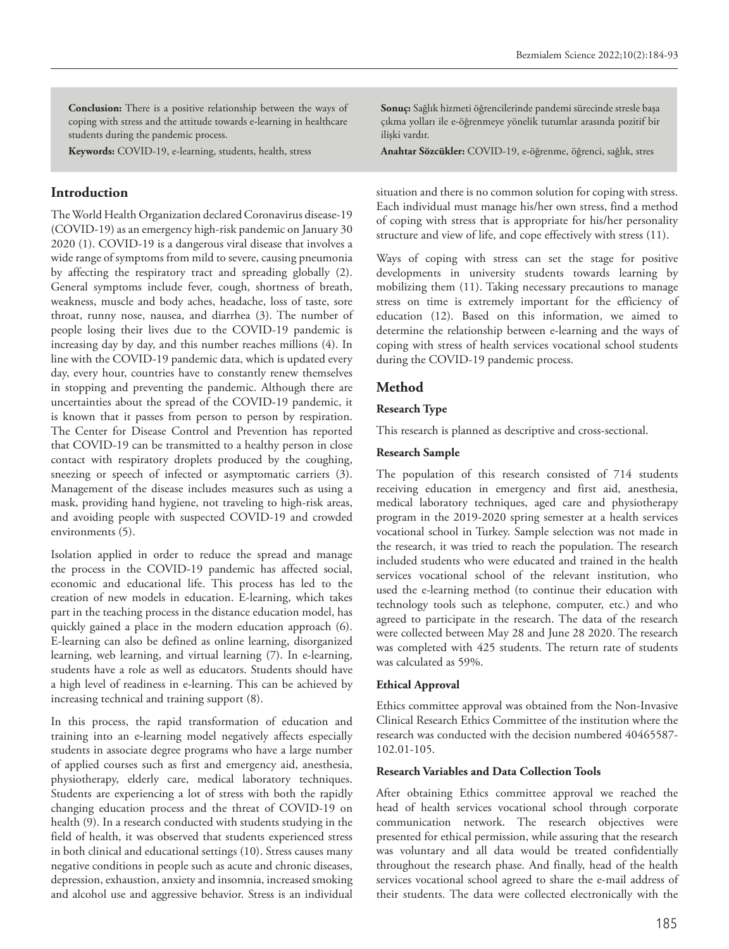**Conclusion:** There is a positive relationship between the ways of coping with stress and the attitude towards e-learning in healthcare students during the pandemic process.

**Keywords:** COVID-19, e-learning, students, health, stress

# **Introduction**

The World Health Organization declared Coronavirus disease-19 (COVID-19) as an emergency high-risk pandemic on January 30 2020 (1). COVID-19 is a dangerous viral disease that involves a wide range of symptoms from mild to severe, causing pneumonia by affecting the respiratory tract and spreading globally (2). General symptoms include fever, cough, shortness of breath, weakness, muscle and body aches, headache, loss of taste, sore throat, runny nose, nausea, and diarrhea (3). The number of people losing their lives due to the COVID-19 pandemic is increasing day by day, and this number reaches millions (4). In line with the COVID-19 pandemic data, which is updated every day, every hour, countries have to constantly renew themselves in stopping and preventing the pandemic. Although there are uncertainties about the spread of the COVID-19 pandemic, it is known that it passes from person to person by respiration. The Center for Disease Control and Prevention has reported that COVID-19 can be transmitted to a healthy person in close contact with respiratory droplets produced by the coughing, sneezing or speech of infected or asymptomatic carriers (3). Management of the disease includes measures such as using a mask, providing hand hygiene, not traveling to high-risk areas, and avoiding people with suspected COVID-19 and crowded environments (5).

Isolation applied in order to reduce the spread and manage the process in the COVID-19 pandemic has affected social, economic and educational life. This process has led to the creation of new models in education. E-learning, which takes part in the teaching process in the distance education model, has quickly gained a place in the modern education approach (6). E-learning can also be defined as online learning, disorganized learning, web learning, and virtual learning (7). In e-learning, students have a role as well as educators. Students should have a high level of readiness in e-learning. This can be achieved by increasing technical and training support (8).

In this process, the rapid transformation of education and training into an e-learning model negatively affects especially students in associate degree programs who have a large number of applied courses such as first and emergency aid, anesthesia, physiotherapy, elderly care, medical laboratory techniques. Students are experiencing a lot of stress with both the rapidly changing education process and the threat of COVID-19 on health (9). In a research conducted with students studying in the field of health, it was observed that students experienced stress in both clinical and educational settings (10). Stress causes many negative conditions in people such as acute and chronic diseases, depression, exhaustion, anxiety and insomnia, increased smoking and alcohol use and aggressive behavior. Stress is an individual

**Sonuç:** Sağlık hizmeti öğrencilerinde pandemi sürecinde stresle başa çıkma yolları ile e-öğrenmeye yönelik tutumlar arasında pozitif bir ilişki vardır.

**Anahtar Sözcükler:** COVID-19, e-öğrenme, öğrenci, sağlık, stres

situation and there is no common solution for coping with stress. Each individual must manage his/her own stress, find a method of coping with stress that is appropriate for his/her personality structure and view of life, and cope effectively with stress (11).

Ways of coping with stress can set the stage for positive developments in university students towards learning by mobilizing them (11). Taking necessary precautions to manage stress on time is extremely important for the efficiency of education (12). Based on this information, we aimed to determine the relationship between e-learning and the ways of coping with stress of health services vocational school students during the COVID-19 pandemic process.

# **Method**

### **Research Type**

This research is planned as descriptive and cross-sectional.

#### **Research Sample**

The population of this research consisted of 714 students receiving education in emergency and first aid, anesthesia, medical laboratory techniques, aged care and physiotherapy program in the 2019-2020 spring semester at a health services vocational school in Turkey. Sample selection was not made in the research, it was tried to reach the population. The research included students who were educated and trained in the health services vocational school of the relevant institution, who used the e-learning method (to continue their education with technology tools such as telephone, computer, etc.) and who agreed to participate in the research. The data of the research were collected between May 28 and June 28 2020. The research was completed with 425 students. The return rate of students was calculated as 59%.

#### **Ethical Approval**

Ethics committee approval was obtained from the Non-Invasive Clinical Research Ethics Committee of the institution where the research was conducted with the decision numbered 40465587- 102.01-105.

#### **Research Variables and Data Collection Tools**

After obtaining Ethics committee approval we reached the head of health services vocational school through corporate communication network. The research objectives were presented for ethical permission, while assuring that the research was voluntary and all data would be treated confidentially throughout the research phase. And finally, head of the health services vocational school agreed to share the e-mail address of their students. The data were collected electronically with the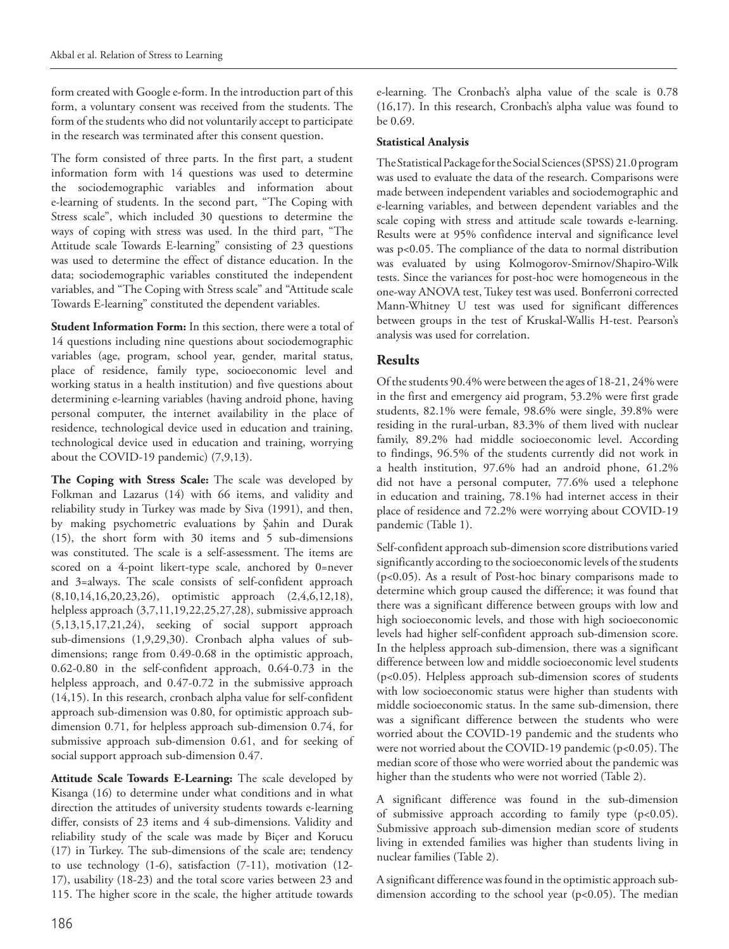form created with Google e-form. In the introduction part of this form, a voluntary consent was received from the students. The form of the students who did not voluntarily accept to participate in the research was terminated after this consent question.

The form consisted of three parts. In the first part, a student information form with 14 questions was used to determine the sociodemographic variables and information about e-learning of students. In the second part, "The Coping with Stress scale", which included 30 questions to determine the ways of coping with stress was used. In the third part, "The Attitude scale Towards E-learning" consisting of 23 questions was used to determine the effect of distance education. In the data; sociodemographic variables constituted the independent variables, and "The Coping with Stress scale" and "Attitude scale Towards E-learning" constituted the dependent variables.

**Student Information Form:** In this section, there were a total of 14 questions including nine questions about sociodemographic variables (age, program, school year, gender, marital status, place of residence, family type, socioeconomic level and working status in a health institution) and five questions about determining e-learning variables (having android phone, having personal computer, the internet availability in the place of residence, technological device used in education and training, technological device used in education and training, worrying about the COVID-19 pandemic) (7,9,13).

**The Coping with Stress Scale:** The scale was developed by Folkman and Lazarus (14) with 66 items, and validity and reliability study in Turkey was made by Siva (1991), and then, by making psychometric evaluations by Şahin and Durak (15), the short form with 30 items and 5 sub-dimensions was constituted. The scale is a self-assessment. The items are scored on a 4-point likert-type scale, anchored by 0=never and 3=always. The scale consists of self-confident approach (8,10,14,16,20,23,26), optimistic approach (2,4,6,12,18), helpless approach (3,7,11,19,22,25,27,28), submissive approach (5,13,15,17,21,24), seeking of social support approach sub-dimensions (1,9,29,30). Cronbach alpha values of subdimensions; range from 0.49-0.68 in the optimistic approach, 0.62-0.80 in the self-confident approach, 0.64-0.73 in the helpless approach, and 0.47-0.72 in the submissive approach (14,15). In this research, cronbach alpha value for self-confident approach sub-dimension was 0.80, for optimistic approach subdimension 0.71, for helpless approach sub-dimension 0.74, for submissive approach sub-dimension 0.61, and for seeking of social support approach sub-dimension 0.47.

**Attitude Scale Towards E-Learning:** The scale developed by Kisanga (16) to determine under what conditions and in what direction the attitudes of university students towards e-learning differ, consists of 23 items and 4 sub-dimensions. Validity and reliability study of the scale was made by Biçer and Korucu (17) in Turkey. The sub-dimensions of the scale are; tendency to use technology (1-6), satisfaction (7-11), motivation (12- 17), usability (18-23) and the total score varies between 23 and 115. The higher score in the scale, the higher attitude towards

e-learning. The Cronbach's alpha value of the scale is 0.78 (16,17). In this research, Cronbach's alpha value was found to be 0.69.

# **Statistical Analysis**

The Statistical Package for the Social Sciences (SPSS) 21.0 program was used to evaluate the data of the research. Comparisons were made between independent variables and sociodemographic and e-learning variables, and between dependent variables and the scale coping with stress and attitude scale towards e-learning. Results were at 95% confidence interval and significance level was p<0.05. The compliance of the data to normal distribution was evaluated by using Kolmogorov-Smirnov/Shapiro-Wilk tests. Since the variances for post-hoc were homogeneous in the one-way ANOVA test, Tukey test was used. Bonferroni corrected Mann-Whitney U test was used for significant differences between groups in the test of Kruskal-Wallis H-test. Pearson's analysis was used for correlation.

# **Results**

Of the students 90.4% were between the ages of 18-21, 24% were in the first and emergency aid program, 53.2% were first grade students, 82.1% were female, 98.6% were single, 39.8% were residing in the rural-urban, 83.3% of them lived with nuclear family, 89.2% had middle socioeconomic level. According to findings, 96.5% of the students currently did not work in a health institution, 97.6% had an android phone, 61.2% did not have a personal computer, 77.6% used a telephone in education and training, 78.1% had internet access in their place of residence and 72.2% were worrying about COVID-19 pandemic (Table 1).

Self-confident approach sub-dimension score distributions varied significantly according to the socioeconomic levels of the students (p<0.05). As a result of Post-hoc binary comparisons made to determine which group caused the difference; it was found that there was a significant difference between groups with low and high socioeconomic levels, and those with high socioeconomic levels had higher self-confident approach sub-dimension score. In the helpless approach sub-dimension, there was a significant difference between low and middle socioeconomic level students (p<0.05). Helpless approach sub-dimension scores of students with low socioeconomic status were higher than students with middle socioeconomic status. In the same sub-dimension, there was a significant difference between the students who were worried about the COVID-19 pandemic and the students who were not worried about the COVID-19 pandemic (p<0.05). The median score of those who were worried about the pandemic was higher than the students who were not worried (Table 2).

A significant difference was found in the sub-dimension of submissive approach according to family type (p<0.05). Submissive approach sub-dimension median score of students living in extended families was higher than students living in nuclear families (Table 2).

A significant difference was found in the optimistic approach subdimension according to the school year (p<0.05). The median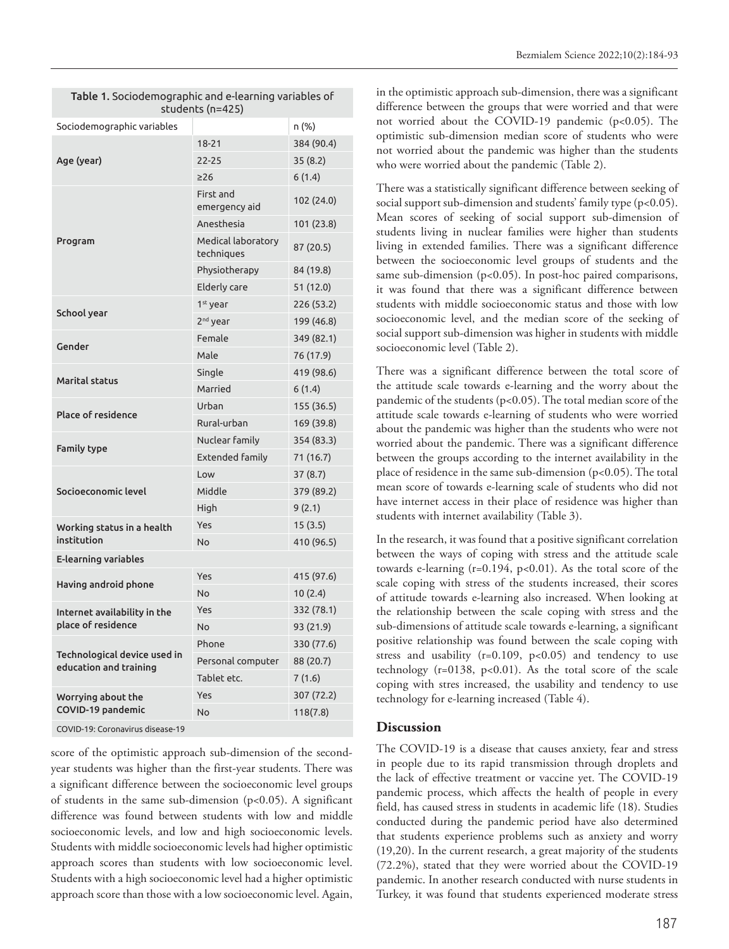| Table 1. Sociodemographic and e-learning variables of<br>students (n=425) |                                  |            |  |
|---------------------------------------------------------------------------|----------------------------------|------------|--|
| Sociodemographic variables                                                |                                  | n (%)      |  |
| Age (year)                                                                | $18 - 21$                        | 384 (90.4) |  |
|                                                                           | 22-25                            | 35(8.2)    |  |
|                                                                           | >26                              | 6(1.4)     |  |
|                                                                           | First and<br>emergency aid       | 102 (24.0) |  |
|                                                                           | Anesthesia                       | 101 (23.8) |  |
| Program                                                                   | Medical laboratory<br>techniques | 87 (20.5)  |  |
|                                                                           | Physiotherapy                    | 84 (19.8)  |  |
|                                                                           | <b>Elderly care</b>              | 51(12.0)   |  |
|                                                                           | 1 <sup>st</sup> year             | 226 (53.2) |  |
| School year                                                               | 2 <sup>nd</sup> year             | 199 (46.8) |  |
| Gender                                                                    | Female                           | 349 (82.1) |  |
|                                                                           | Male                             | 76 (17.9)  |  |
| <b>Marital status</b>                                                     | Single                           | 419 (98.6) |  |
|                                                                           | Married                          | 6(1.4)     |  |
| <b>Place of residence</b>                                                 | Urban                            | 155 (36.5) |  |
|                                                                           | Rural-urban                      | 169 (39.8) |  |
| <b>Family type</b>                                                        | Nuclear family                   | 354 (83.3) |  |
|                                                                           | <b>Extended family</b>           | 71 (16.7)  |  |
|                                                                           | Low                              | 37(8.7)    |  |
| Socioeconomic level                                                       | Middle                           | 379 (89.2) |  |
|                                                                           | High                             | 9(2.1)     |  |
| Working status in a health                                                | Yes                              | 15(3.5)    |  |
| institution                                                               | No                               | 410 (96.5) |  |
| <b>E-learning variables</b>                                               |                                  |            |  |
| Having android phone                                                      | Yes                              | 415 (97.6) |  |
|                                                                           | <b>No</b>                        | 10(2.4)    |  |
| Internet availability in the                                              | Yes                              | 332 (78.1) |  |
| place of residence                                                        | <b>No</b>                        | 93 (21.9)  |  |
| Technological device used in                                              | Phone                            | 330 (77.6) |  |
| education and training                                                    | Personal computer                | 88 (20.7)  |  |
|                                                                           | Tablet etc.                      | 7(1.6)     |  |
| Worrying about the                                                        | Yes                              | 307 (72.2) |  |
| COVID-19 pandemic                                                         | No                               | 118(7.8)   |  |

COVID-19: Coronavirus disease-19

score of the optimistic approach sub-dimension of the secondyear students was higher than the first-year students. There was a significant difference between the socioeconomic level groups of students in the same sub-dimension (p<0.05). A significant difference was found between students with low and middle socioeconomic levels, and low and high socioeconomic levels. Students with middle socioeconomic levels had higher optimistic approach scores than students with low socioeconomic level. Students with a high socioeconomic level had a higher optimistic approach score than those with a low socioeconomic level. Again,

in the optimistic approach sub-dimension, there was a significant difference between the groups that were worried and that were not worried about the COVID-19 pandemic (p<0.05). The optimistic sub-dimension median score of students who were not worried about the pandemic was higher than the students who were worried about the pandemic (Table 2).

There was a statistically significant difference between seeking of social support sub-dimension and students' family type (p<0.05). Mean scores of seeking of social support sub-dimension of students living in nuclear families were higher than students living in extended families. There was a significant difference between the socioeconomic level groups of students and the same sub-dimension (p<0.05). In post-hoc paired comparisons, it was found that there was a significant difference between students with middle socioeconomic status and those with low socioeconomic level, and the median score of the seeking of social support sub-dimension was higher in students with middle socioeconomic level (Table 2).

There was a significant difference between the total score of the attitude scale towards e-learning and the worry about the pandemic of the students (p<0.05). The total median score of the attitude scale towards e-learning of students who were worried about the pandemic was higher than the students who were not worried about the pandemic. There was a significant difference between the groups according to the internet availability in the place of residence in the same sub-dimension (p<0.05). The total mean score of towards e-learning scale of students who did not have internet access in their place of residence was higher than students with internet availability (Table 3).

In the research, it was found that a positive significant correlation between the ways of coping with stress and the attitude scale towards e-learning (r=0.194, p<0.01). As the total score of the scale coping with stress of the students increased, their scores of attitude towards e-learning also increased. When looking at the relationship between the scale coping with stress and the sub-dimensions of attitude scale towards e-learning, a significant positive relationship was found between the scale coping with stress and usability ( $r=0.109$ ,  $p<0.05$ ) and tendency to use technology (r=0138, p<0.01). As the total score of the scale coping with stres increased, the usability and tendency to use technology for e-learning increased (Table 4).

#### **Discussion**

The COVID-19 is a disease that causes anxiety, fear and stress in people due to its rapid transmission through droplets and the lack of effective treatment or vaccine yet. The COVID-19 pandemic process, which affects the health of people in every field, has caused stress in students in academic life (18). Studies conducted during the pandemic period have also determined that students experience problems such as anxiety and worry (19,20). In the current research, a great majority of the students (72.2%), stated that they were worried about the COVID-19 pandemic. In another research conducted with nurse students in Turkey, it was found that students experienced moderate stress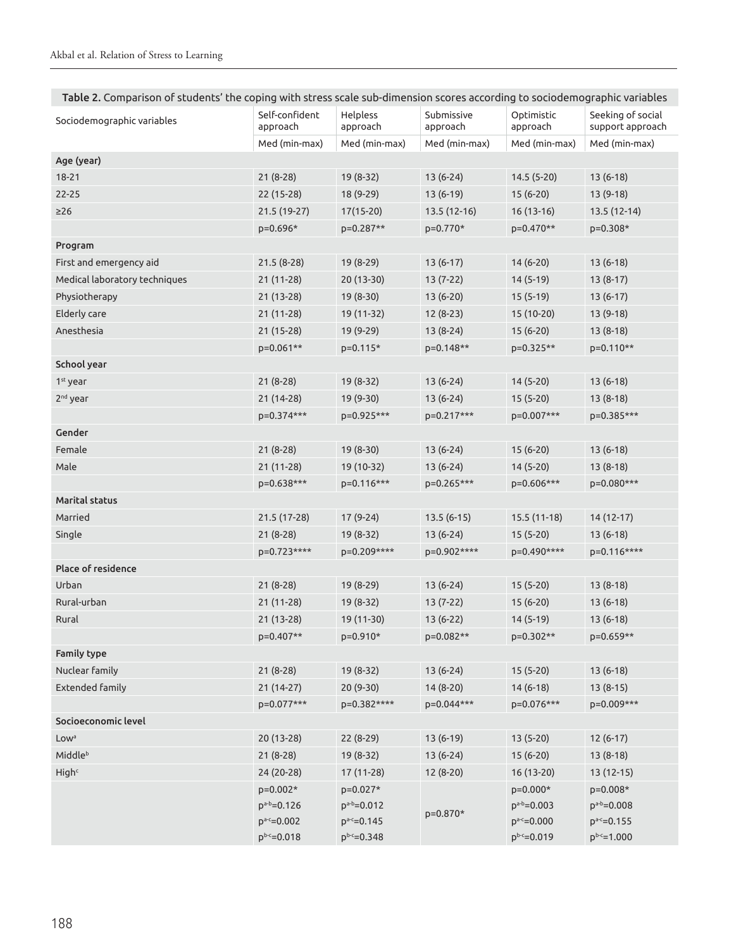| Table 2. Comparison of students' the coping with stress scale sub-dimension scores according to sociodemographic variables |  |  |
|----------------------------------------------------------------------------------------------------------------------------|--|--|
|                                                                                                                            |  |  |

| Sociodemographic variables    | Self-confident<br>approach | Helpless<br>approach | Submissive<br>approach | Optimistic<br>approach | Seeking of social<br>support approach |
|-------------------------------|----------------------------|----------------------|------------------------|------------------------|---------------------------------------|
|                               | Med (min-max)              | Med (min-max)        | Med (min-max)          | Med (min-max)          | Med (min-max)                         |
| Age (year)                    |                            |                      |                        |                        |                                       |
| $18 - 21$                     | $21(8-28)$                 | 19 (8-32)            | $13(6-24)$             | $14.5(5-20)$           | $13(6-18)$                            |
| $22 - 25$                     | 22 (15-28)                 | 18 (9-29)            | $13(6-19)$             | $15(6-20)$             | $13(9-18)$                            |
| $\geq$ 26                     | 21.5 (19-27)               | $17(15-20)$          | 13.5 (12-16)           | $16(13-16)$            | 13.5 (12-14)                          |
|                               | p=0.696*                   | p=0.287**            | p=0.770*               | $p=0.470**$            | p=0.308*                              |
| Program                       |                            |                      |                        |                        |                                       |
| First and emergency aid       | $21.5(8-28)$               | 19 (8-29)            | $13(6-17)$             | $14(6-20)$             | $13(6-18)$                            |
| Medical laboratory techniques | 21 (11-28)                 | 20 (13-30)           | $13(7-22)$             | $14(5-19)$             | $13(8-17)$                            |
| Physiotherapy                 | $21(13-28)$                | $19(8-30)$           | $13(6-20)$             | $15(5-19)$             | $13(6-17)$                            |
| <b>Elderly care</b>           | $21(11-28)$                | 19 (11-32)           | 12 (8-23)              | 15 (10-20)             | 13 (9-18)                             |
| Anesthesia                    | $21(15-28)$                | 19 (9-29)            | $13(8-24)$             | 15 (6-20)              | $13(8-18)$                            |
|                               | p=0.061**                  | $p=0.115*$           | p=0.148**              | p=0.325**              | p=0.110**                             |
| School year                   |                            |                      |                        |                        |                                       |
| 1 <sup>st</sup> year          | $21(8-28)$                 | 19 (8-32)            | $13(6-24)$             | $14(5-20)$             | $13(6-18)$                            |
| 2 <sup>nd</sup> year          | $21(14-28)$                | 19 (9-30)            | $13(6-24)$             | $15(5-20)$             | $13(8-18)$                            |
|                               | p=0.374***                 | p=0.925***           | p=0.217***             | p=0.007***             | p=0.385***                            |
| Gender                        |                            |                      |                        |                        |                                       |
| Female                        | $21(8-28)$                 | 19 (8-30)            | $13(6-24)$             | $15(6-20)$             | $13(6-18)$                            |
| Male                          | $21(11-28)$                | 19 (10-32)           | $13(6-24)$             | $14(5-20)$             | $13(8-18)$                            |
|                               | p=0.638***                 | p=0.116***           | p=0.265***             | p=0.606***             | p=0.080***                            |
| <b>Marital status</b>         |                            |                      |                        |                        |                                       |
| Married                       | 21.5 (17-28)               | $17(9-24)$           | $13.5(6-15)$           | $15.5(11-18)$          | $14(12-17)$                           |
| Single                        | $21(8-28)$                 | $19(8-32)$           | $13(6-24)$             | $15(5-20)$             | $13(6-18)$                            |
|                               | p=0.723****                | p=0.209****          | p=0.902****            | p=0.490****            | p=0.116****                           |
| Place of residence            |                            |                      |                        |                        |                                       |
| Urban                         | $21(8-28)$                 | 19 (8-29)            | $13(6-24)$             | $15(5-20)$             | $13(8-18)$                            |
| Rural-urban                   | 21 (11-28)                 | 19 (8-32)            | $13(7-22)$             | $15(6-20)$             | $13(6-18)$                            |
| Rural                         | $21(13-28)$                | 19 (11-30)           | $13(6-22)$             | $14(5-19)$             | $13(6-18)$                            |
|                               | p=0.407**                  | $p=0.910*$           | p=0.082**              | p=0.302**              | p=0.659**                             |
| <b>Family type</b>            |                            |                      |                        |                        |                                       |
| Nuclear family                | $21(8-28)$                 | 19 (8-32)            | $13(6-24)$             | $15(5-20)$             | $13(6-18)$                            |
| Extended family               | $21(14-27)$                | 20 (9-30)            | $14(8-20)$             | $14(6-18)$             | $13(8-15)$                            |
|                               | p=0.077***                 | p=0.382****          | p=0.044***             | p=0.076***             | p=0.009***                            |
| Socioeconomic level           |                            |                      |                        |                        |                                       |
| Low <sup>a</sup>              | 20 (13-28)                 | 22 (8-29)            | $13(6-19)$             | $13(5-20)$             | $12(6-17)$                            |
| Middleb                       | $21(8-28)$                 | 19 (8-32)            | $13(6-24)$             | $15(6-20)$             | $13(8-18)$                            |
| High <sup>c</sup>             | 24 (20-28)                 | 17 (11-28)           | $12(8-20)$             | 16 (13-20)             | $13(12-15)$                           |
|                               | $p=0.002*$                 | p=0.027*             |                        | $p=0.000*$             | p=0.008*                              |
|                               | $p^{a-b}=0.126$            | $p^{a-b}=0.012$      |                        | $p^{a-b}=0.003$        | $p^{a-b}=0.008$                       |
|                               | $p^{a-c}=0.002$            | $p^{a-c}=0.145$      | p=0.870*               | $p^{a-c}=0.000$        | $p^{a-c}=0.155$                       |
|                               | $p^{b-c} = 0.018$          | $p^{b-c}=0.348$      |                        | $p^{b-c}=0.019$        | $p^{b-c}=1.000$                       |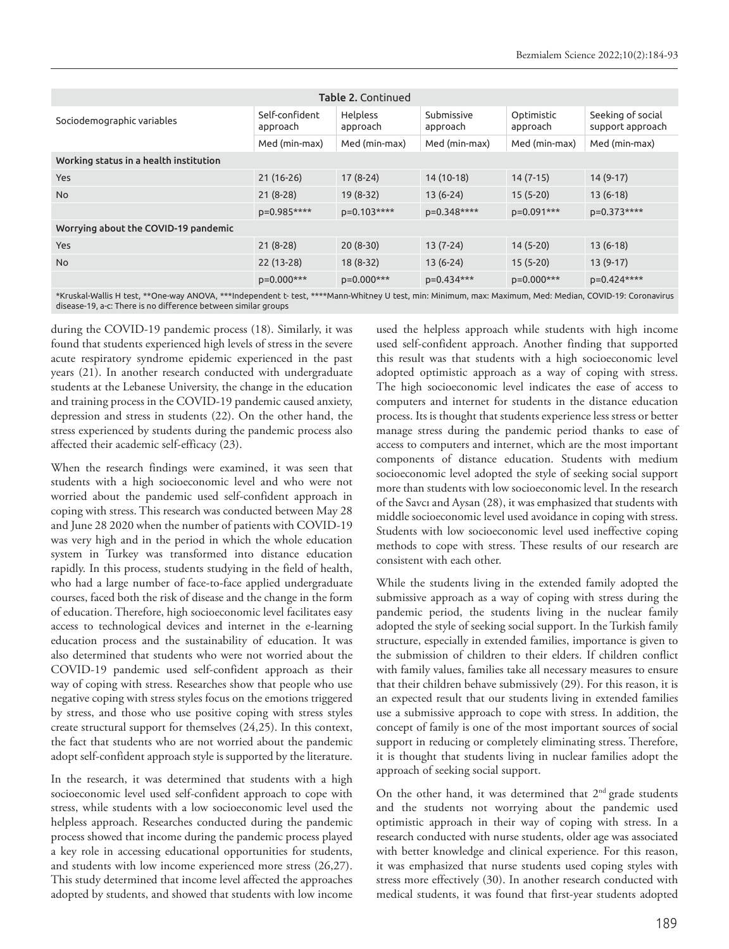| <b>Table 2. Continued</b>              |                            |                      |                        |                        |                                       |
|----------------------------------------|----------------------------|----------------------|------------------------|------------------------|---------------------------------------|
| Sociodemographic variables             | Self-confident<br>approach | Helpless<br>approach | Submissive<br>approach | Optimistic<br>approach | Seeking of social<br>support approach |
|                                        | Med (min-max)              | Med (min-max)        | Med (min-max)          | Med (min-max)          | Med (min-max)                         |
| Working status in a health institution |                            |                      |                        |                        |                                       |
| Yes                                    | $21(16-26)$                | $17(8-24)$           | 14 (10-18)             | $14(7-15)$             | $14(9-17)$                            |
| <b>No</b>                              | $21(8-28)$                 | $19(8-32)$           | $13(6-24)$             | $15(5-20)$             | $13(6-18)$                            |
|                                        | p=0.985****                | p=0.103****          | p=0.348****            | p=0.091***             | p=0.373****                           |
| Worrying about the COVID-19 pandemic   |                            |                      |                        |                        |                                       |
| Yes                                    | $21(8-28)$                 | $20(8-30)$           | $13(7-24)$             | $14(5-20)$             | $13(6-18)$                            |
| <b>No</b>                              | $22(13-28)$                | $18(8-32)$           | $13(6-24)$             | $15(5-20)$             | $13(9-17)$                            |
|                                        | p=0.000***                 | p=0.000***           | p=0.434***             | p=0.000***             | p=0.424****                           |

\*Kruskal-Wallis H test, \*\*One-way ANOVA, \*\*\*Independent t- test, \*\*\*\*Mann-Whitney U test, min: Minimum, max: Maximum, Med: Median, COVID-19: Coronavirus disease-19, a-c: There is no difference between similar groups

during the COVID-19 pandemic process (18). Similarly, it was found that students experienced high levels of stress in the severe acute respiratory syndrome epidemic experienced in the past years (21). In another research conducted with undergraduate students at the Lebanese University, the change in the education and training process in the COVID-19 pandemic caused anxiety, depression and stress in students (22). On the other hand, the stress experienced by students during the pandemic process also affected their academic self-efficacy (23).

When the research findings were examined, it was seen that students with a high socioeconomic level and who were not worried about the pandemic used self-confident approach in coping with stress. This research was conducted between May 28 and June 28 2020 when the number of patients with COVID-19 was very high and in the period in which the whole education system in Turkey was transformed into distance education rapidly. In this process, students studying in the field of health, who had a large number of face-to-face applied undergraduate courses, faced both the risk of disease and the change in the form of education. Therefore, high socioeconomic level facilitates easy access to technological devices and internet in the e-learning education process and the sustainability of education. It was also determined that students who were not worried about the COVID-19 pandemic used self-confident approach as their way of coping with stress. Researches show that people who use negative coping with stress styles focus on the emotions triggered by stress, and those who use positive coping with stress styles create structural support for themselves (24,25). In this context, the fact that students who are not worried about the pandemic adopt self-confident approach style is supported by the literature.

In the research, it was determined that students with a high socioeconomic level used self-confident approach to cope with stress, while students with a low socioeconomic level used the helpless approach. Researches conducted during the pandemic process showed that income during the pandemic process played a key role in accessing educational opportunities for students, and students with low income experienced more stress (26,27). This study determined that income level affected the approaches adopted by students, and showed that students with low income

used the helpless approach while students with high income used self-confident approach. Another finding that supported this result was that students with a high socioeconomic level adopted optimistic approach as a way of coping with stress. The high socioeconomic level indicates the ease of access to computers and internet for students in the distance education process. Its is thought that students experience less stress or better manage stress during the pandemic period thanks to ease of access to computers and internet, which are the most important components of distance education. Students with medium socioeconomic level adopted the style of seeking social support more than students with low socioeconomic level. In the research of the Savcı and Aysan (28), it was emphasized that students with middle socioeconomic level used avoidance in coping with stress. Students with low socioeconomic level used ineffective coping methods to cope with stress. These results of our research are consistent with each other.

While the students living in the extended family adopted the submissive approach as a way of coping with stress during the pandemic period, the students living in the nuclear family adopted the style of seeking social support. In the Turkish family structure, especially in extended families, importance is given to the submission of children to their elders. If children conflict with family values, families take all necessary measures to ensure that their children behave submissively (29). For this reason, it is an expected result that our students living in extended families use a submissive approach to cope with stress. In addition, the concept of family is one of the most important sources of social support in reducing or completely eliminating stress. Therefore, it is thought that students living in nuclear families adopt the approach of seeking social support.

On the other hand, it was determined that  $2<sup>nd</sup>$  grade students and the students not worrying about the pandemic used optimistic approach in their way of coping with stress. In a research conducted with nurse students, older age was associated with better knowledge and clinical experience. For this reason, it was emphasized that nurse students used coping styles with stress more effectively (30). In another research conducted with medical students, it was found that first-year students adopted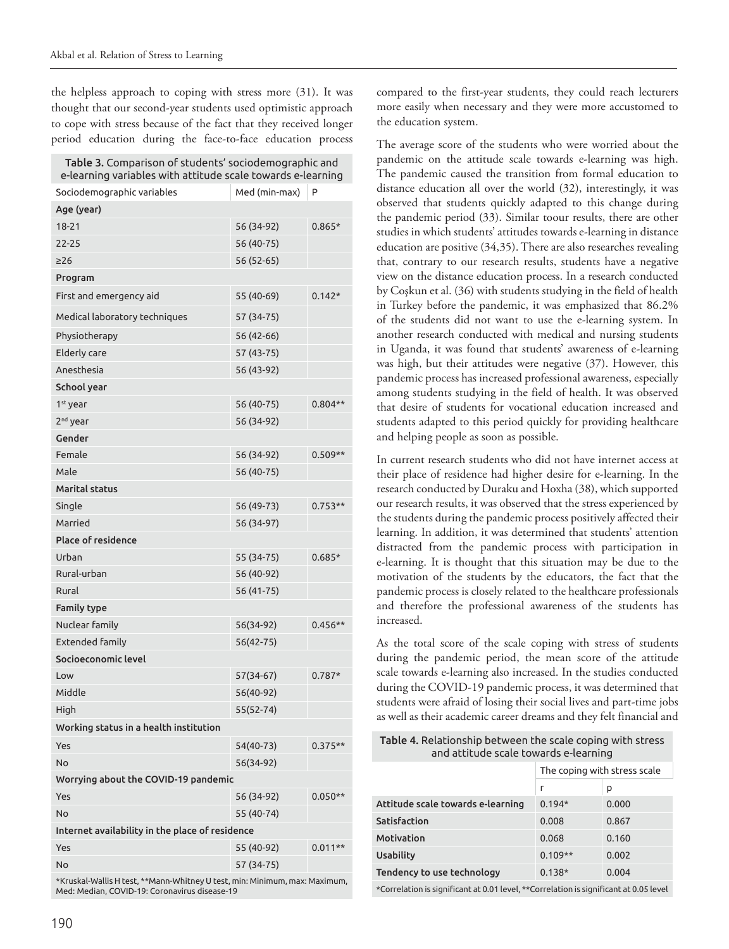the helpless approach to coping with stress more (31). It was thought that our second-year students used optimistic approach to cope with stress because of the fact that they received longer period education during the face-to-face education process

| Table 3. Comparison of students' sociodemographic and<br>e-learning variables with attitude scale towards e-learning |               |           |  |  |
|----------------------------------------------------------------------------------------------------------------------|---------------|-----------|--|--|
| Sociodemographic variables                                                                                           | Med (min-max) | P         |  |  |
| Age (year)                                                                                                           |               |           |  |  |
| $18 - 21$                                                                                                            | 56 (34-92)    | $0.865*$  |  |  |
| 22-25                                                                                                                | 56 (40-75)    |           |  |  |
| $\geq$ 26                                                                                                            | 56 (52-65)    |           |  |  |
| Program                                                                                                              |               |           |  |  |
| First and emergency aid                                                                                              | 55 (40-69)    | $0.142*$  |  |  |
| Medical laboratory techniques                                                                                        | 57 (34-75)    |           |  |  |
| Physiotherapy                                                                                                        | 56 (42-66)    |           |  |  |
| <b>Elderly care</b>                                                                                                  | 57 (43-75)    |           |  |  |
| Anesthesia                                                                                                           | 56 (43-92)    |           |  |  |
| School year                                                                                                          |               |           |  |  |
| 1 <sup>st</sup> year                                                                                                 | 56 (40-75)    | $0.804**$ |  |  |
| 2 <sup>nd</sup> year                                                                                                 | 56 (34-92)    |           |  |  |
| Gender                                                                                                               |               |           |  |  |
| Female                                                                                                               | 56 (34-92)    | $0.509**$ |  |  |
| Male                                                                                                                 | 56 (40-75)    |           |  |  |
| <b>Marital status</b>                                                                                                |               |           |  |  |
| Single                                                                                                               | 56 (49-73)    | $0.753**$ |  |  |
| Married                                                                                                              | 56 (34-97)    |           |  |  |
| <b>Place of residence</b>                                                                                            |               |           |  |  |
| Urban                                                                                                                | 55 (34-75)    | $0.685*$  |  |  |
| Rural-urban                                                                                                          | 56 (40-92)    |           |  |  |
| Rural                                                                                                                | 56 (41-75)    |           |  |  |
| <b>Family type</b>                                                                                                   |               |           |  |  |
| Nuclear family                                                                                                       | 56(34-92)     | $0.456**$ |  |  |
| <b>Extended family</b>                                                                                               | 56(42-75)     |           |  |  |
| Socioeconomic level                                                                                                  |               |           |  |  |
| Low                                                                                                                  | 57(34-67)     | $0.787*$  |  |  |
| Middle                                                                                                               | 56(40-92)     |           |  |  |
| High                                                                                                                 | $55(52-74)$   |           |  |  |
| Working status in a health institution                                                                               |               |           |  |  |
| Yes                                                                                                                  | 54(40-73)     | $0.375**$ |  |  |
| <b>No</b>                                                                                                            | 56(34-92)     |           |  |  |
| Worrying about the COVID-19 pandemic                                                                                 |               |           |  |  |
| Yes                                                                                                                  | 56 (34-92)    | $0.050**$ |  |  |
| No                                                                                                                   | 55 (40-74)    |           |  |  |
| Internet availability in the place of residence                                                                      |               |           |  |  |
| Yes                                                                                                                  | 55 (40-92)    | $0.011**$ |  |  |
| No                                                                                                                   | 57 (34-75)    |           |  |  |
| *Kruskal-Wallis H test, **Mann-Whitney U test, min: Minimum, max: Maximum,                                           |               |           |  |  |

Med: Median, COVID-19: Coronavirus disease-19

compared to the first-year students, they could reach lecturers more easily when necessary and they were more accustomed to the education system.

The average score of the students who were worried about the pandemic on the attitude scale towards e-learning was high. The pandemic caused the transition from formal education to distance education all over the world (32), interestingly, it was observed that students quickly adapted to this change during the pandemic period (33). Similar toour results, there are other studies in which students' attitudes towards e-learning in distance education are positive (34,35). There are also researches revealing that, contrary to our research results, students have a negative view on the distance education process. In a research conducted by Coşkun et al. (36) with students studying in the field of health in Turkey before the pandemic, it was emphasized that 86.2% of the students did not want to use the e-learning system. In another research conducted with medical and nursing students in Uganda, it was found that students' awareness of e-learning was high, but their attitudes were negative (37). However, this pandemic process has increased professional awareness, especially among students studying in the field of health. It was observed that desire of students for vocational education increased and students adapted to this period quickly for providing healthcare and helping people as soon as possible.

In current research students who did not have internet access at their place of residence had higher desire for e-learning. In the research conducted by Duraku and Hoxha (38), which supported our research results, it was observed that the stress experienced by the students during the pandemic process positively affected their learning. In addition, it was determined that students' attention distracted from the pandemic process with participation in e-learning. It is thought that this situation may be due to the motivation of the students by the educators, the fact that the pandemic process is closely related to the healthcare professionals and therefore the professional awareness of the students has increased.

As the total score of the scale coping with stress of students during the pandemic period, the mean score of the attitude scale towards e-learning also increased. In the studies conducted during the COVID-19 pandemic process, it was determined that students were afraid of losing their social lives and part-time jobs as well as their academic career dreams and they felt financial and

Table 4. Relationship between the scale coping with stress and attitude scale towards e-learning

|                                                                                           | The coping with stress scale |       |  |  |
|-------------------------------------------------------------------------------------------|------------------------------|-------|--|--|
|                                                                                           | г                            | р     |  |  |
| Attitude scale towards e-learning                                                         | $0.194*$                     | 0.000 |  |  |
| Satisfaction                                                                              | 0.008                        | 0.867 |  |  |
| Motivation                                                                                | 0.068                        | 0.160 |  |  |
| <b>Usability</b>                                                                          | $0.109**$                    | 0.002 |  |  |
| Tendency to use technology                                                                | $0.138*$                     | 0.004 |  |  |
| $*Conrelation$ is significant at 0.01 loyal $*ofa$ scalation is significant at 0.05 loyal |                              |       |  |  |

\*Correlation is significant at 0.01 level, \*\*Correlation is significant at 0.05 level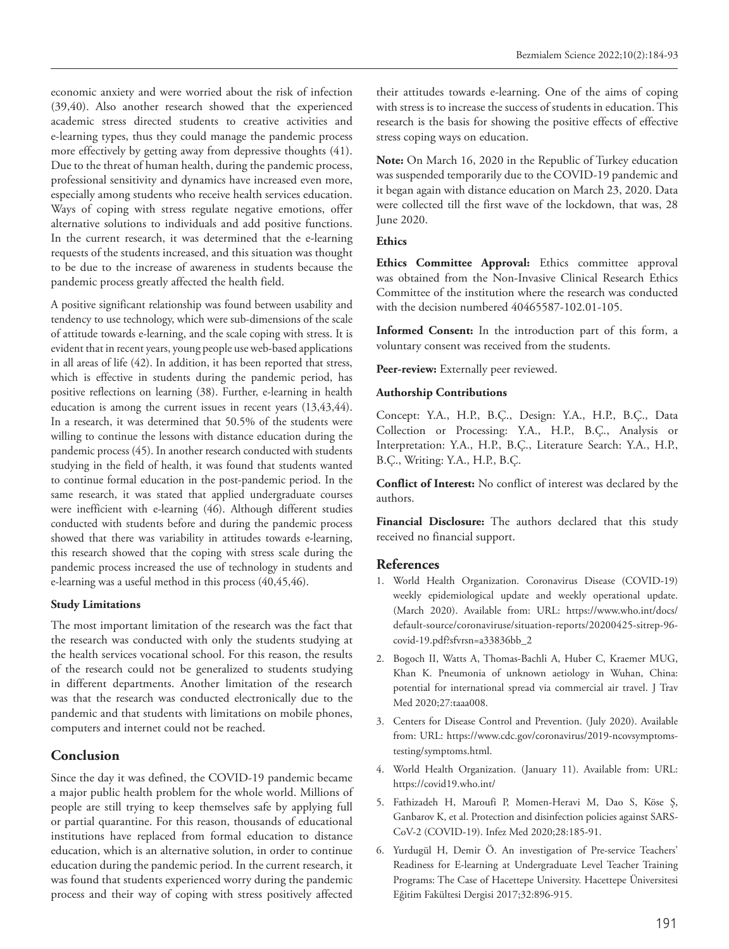economic anxiety and were worried about the risk of infection (39,40). Also another research showed that the experienced academic stress directed students to creative activities and e-learning types, thus they could manage the pandemic process more effectively by getting away from depressive thoughts (41). Due to the threat of human health, during the pandemic process, professional sensitivity and dynamics have increased even more, especially among students who receive health services education. Ways of coping with stress regulate negative emotions, offer alternative solutions to individuals and add positive functions. In the current research, it was determined that the e-learning requests of the students increased, and this situation was thought to be due to the increase of awareness in students because the pandemic process greatly affected the health field.

A positive significant relationship was found between usability and tendency to use technology, which were sub-dimensions of the scale of attitude towards e-learning, and the scale coping with stress. It is evident that in recent years, young people use web-based applications in all areas of life (42). In addition, it has been reported that stress, which is effective in students during the pandemic period, has positive reflections on learning (38). Further, e-learning in health education is among the current issues in recent years (13,43,44). In a research, it was determined that 50.5% of the students were willing to continue the lessons with distance education during the pandemic process (45). In another research conducted with students studying in the field of health, it was found that students wanted to continue formal education in the post-pandemic period. In the same research, it was stated that applied undergraduate courses were inefficient with e-learning (46). Although different studies conducted with students before and during the pandemic process showed that there was variability in attitudes towards e-learning, this research showed that the coping with stress scale during the pandemic process increased the use of technology in students and e-learning was a useful method in this process (40,45,46).

#### **Study Limitations**

The most important limitation of the research was the fact that the research was conducted with only the students studying at the health services vocational school. For this reason, the results of the research could not be generalized to students studying in different departments. Another limitation of the research was that the research was conducted electronically due to the pandemic and that students with limitations on mobile phones, computers and internet could not be reached.

# **Conclusion**

Since the day it was defined, the COVID-19 pandemic became a major public health problem for the whole world. Millions of people are still trying to keep themselves safe by applying full or partial quarantine. For this reason, thousands of educational institutions have replaced from formal education to distance education, which is an alternative solution, in order to continue education during the pandemic period. In the current research, it was found that students experienced worry during the pandemic process and their way of coping with stress positively affected

their attitudes towards e-learning. One of the aims of coping with stress is to increase the success of students in education. This research is the basis for showing the positive effects of effective stress coping ways on education.

**Note:** On March 16, 2020 in the Republic of Turkey education was suspended temporarily due to the COVID-19 pandemic and it began again with distance education on March 23, 2020. Data were collected till the first wave of the lockdown, that was, 28 June 2020.

### **Ethics**

Ethics Committee Approval: Ethics committee approval was obtained from the Non-Invasive Clinical Research Ethics Committee of the institution where the research was conducted with the decision numbered 40465587-102.01-105.

**Informed Consent:** In the introduction part of this form, a voluntary consent was received from the students.

Peer-review: Externally peer reviewed.

### **Authorship Contributions**

Concept: Y.A., H.P., B.Ç., Design: Y.A., H.P., B.Ç., Data Collection or Processing: Y.A., H.P., B.Ç., Analysis or Interpretation: Y.A., H.P., B.Ç., Literature Search: Y.A., H.P., B.Ç., Writing: Y.A., H.P., B.Ç.

**Conflict of Interest:** No conflict of interest was declared by the authors.

**Financial Disclosure:** The authors declared that this study received no financial support.

# **References**

- 1. World Health Organization. Coronavirus Disease (COVID-19) weekly epidemiological update and weekly operational update. (March 2020). Available from: URL: https://www.who.int/docs/ default-source/coronaviruse/situation-reports/20200425-sitrep-96 covid-19.pdf?sfvrsn=a33836bb\_2
- 2. Bogoch II, Watts A, Thomas-Bachli A, Huber C, Kraemer MUG, Khan K. Pneumonia of unknown aetiology in Wuhan, China: potential for international spread via commercial air travel. J Trav Med 2020;27:taaa008.
- 3. Centers for Disease Control and Prevention. (July 2020). Available from: URL: https://www.cdc.gov/coronavirus/2019-ncovsymptomstesting/symptoms.html.
- 4. World Health Organization. (January 11). Available from: URL: https://covid19.who.int/
- 5. Fathizadeh H, Maroufi P, Momen-Heravi M, Dao S, Köse Ş, Ganbarov K, et al. Protection and disinfection policies against SARS-CoV-2 (COVID-19). Infez Med 2020;28:185-91.
- 6. Yurdugül H, Demir Ö. An investigation of Pre-service Teachers' Readiness for E-learning at Undergraduate Level Teacher Training Programs: The Case of Hacettepe University. Hacettepe Üniversitesi Eğitim Fakültesi Dergisi 2017;32:896-915.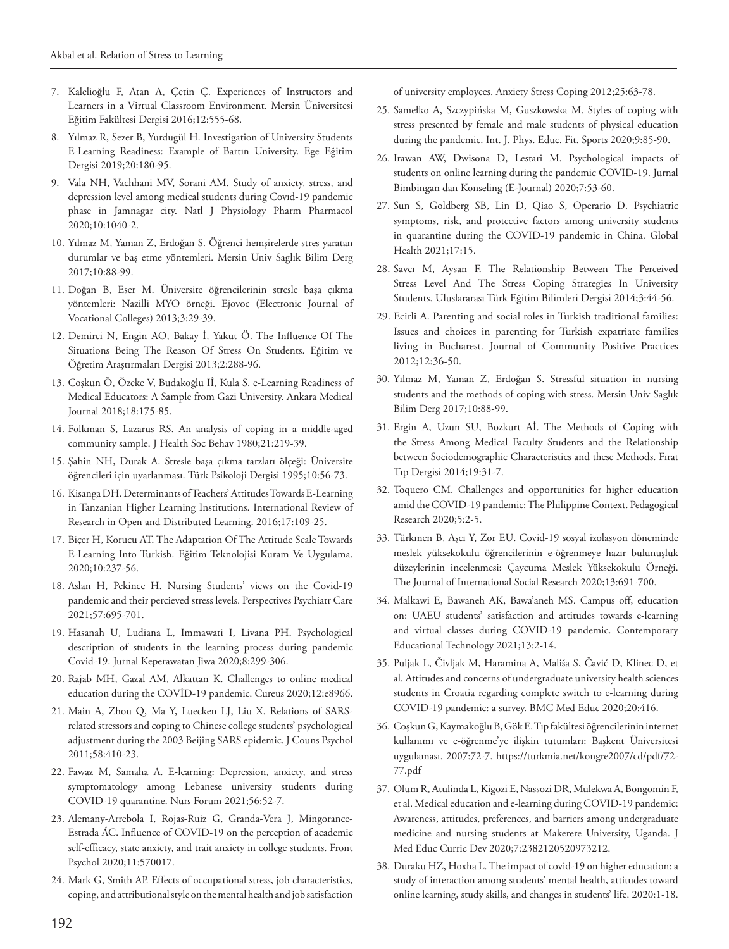- 7. Kalelioğlu F, Atan A, Çetin Ç. Experiences of Instructors and Learners in a Virtual Classroom Environment. Mersin Üniversitesi Eğitim Fakültesi Dergisi 2016;12:555-68.
- 8. Yılmaz R, Sezer B, Yurdugül H. Investigation of University Students E-Learning Readiness: Example of Bartın University. Ege Eğitim Dergisi 2019;20:180-95.
- 9. Vala NH, Vachhani MV, Sorani AM. Study of anxiety, stress, and depression level among medical students during Covıd-19 pandemic phase in Jamnagar city. Natl J Physiology Pharm Pharmacol 2020;10:1040-2.
- 10. Yılmaz M, Yaman Z, Erdoğan S. Öğrenci hemşirelerde stres yaratan durumlar ve baş etme yöntemleri. Mersin Univ Saglık Bilim Derg 2017;10:88-99.
- 11. Doğan B, Eser M. Üniversite öğrencilerinin stresle başa çıkma yöntemleri: Nazilli MYO örneği. Ejovoc (Electronic Journal of Vocational Colleges) 2013;3:29-39.
- 12. Demirci N, Engin AO, Bakay İ, Yakut Ö. The Influence Of The Situations Being The Reason Of Stress On Students. Eğitim ve Öğretim Araştırmaları Dergisi 2013;2:288-96.
- 13. Coşkun Ö, Özeke V, Budakoğlu Iİ, Kula S. e-Learning Readiness of Medical Educators: A Sample from Gazi University. Ankara Medical Journal 2018;18:175-85.
- 14. Folkman S, Lazarus RS. An analysis of coping in a middle-aged community sample. J Health Soc Behav 1980;21:219-39.
- 15. Şahin NH, Durak A. Stresle başa çıkma tarzları ölçeği: Üniversite öğrencileri için uyarlanması. Türk Psikoloji Dergisi 1995;10:56-73.
- 16. Kisanga DH. Determinants of Teachers' Attitudes Towards E-Learning in Tanzanian Higher Learning Institutions. International Review of Research in Open and Distributed Learning. 2016;17:109-25.
- 17. Biçer H, Korucu AT. The Adaptation Of The Attitude Scale Towards E-Learning Into Turkish. Eğitim Teknolojisi Kuram Ve Uygulama. 2020;10:237-56.
- 18. Aslan H, Pekince H. Nursing Students' views on the Covid‐19 pandemic and their percieved stress levels. Perspectives Psychiatr Care 2021;57:695-701.
- 19. Hasanah U, Ludiana L, Immawati I, Livana PH. Psychological description of students in the learning process during pandemic Covid-19. Jurnal Keperawatan Jiwa 2020;8:299-306.
- 20. Rajab MH, Gazal AM, Alkattan K. Challenges to online medical education during the COVİD-19 pandemic. Cureus 2020;12:e8966.
- 21. Main A, Zhou Q, Ma Y, Luecken LJ, Liu X. Relations of SARSrelated stressors and coping to Chinese college students' psychological adjustment during the 2003 Beijing SARS epidemic. J Couns Psychol 2011;58:410-23.
- 22. Fawaz M, Samaha A. E‐learning: Depression, anxiety, and stress symptomatology among Lebanese university students during COVID‐19 quarantine. Nurs Forum 2021;56:52-7.
- 23. Alemany-Arrebola I, Rojas-Ruiz G, Granda-Vera J, Mingorance-Estrada ÁC. Influence of COVID-19 on the perception of academic self-efficacy, state anxiety, and trait anxiety in college students. Front Psychol 2020;11:570017.
- 24. Mark G, Smith AP. Effects of occupational stress, job characteristics, coping, and attributional style on the mental health and job satisfaction

of university employees. Anxiety Stress Coping 2012;25:63-78.

- 25. Samełko A, Szczypińska M, Guszkowska M. Styles of coping with stress presented by female and male students of physical education during the pandemic. Int. J. Phys. Educ. Fit. Sports 2020;9:85-90.
- 26. Irawan AW, Dwisona D, Lestari M. Psychological impacts of students on online learning during the pandemic COVID-19. Jurnal Bimbingan dan Konseling (E-Journal) 2020;7:53-60.
- 27. Sun S, Goldberg SB, Lin D, Qiao S, Operario D. Psychiatric symptoms, risk, and protective factors among university students in quarantine during the COVID-19 pandemic in China. Global Health 2021;17:15.
- 28. Savcı M, Aysan F. The Relationship Between The Perceived Stress Level And The Stress Coping Strategies In University Students. Uluslararası Türk Eğitim Bilimleri Dergisi 2014;3:44-56.
- 29. Ecirli A. Parenting and social roles in Turkish traditional families: Issues and choices in parenting for Turkish expatriate families living in Bucharest. Journal of Community Positive Practices 2012;12:36-50.
- 30. Yılmaz M, Yaman Z, Erdoğan S. Stressful situation in nursing students and the methods of coping with stress. Mersin Univ Saglık Bilim Derg 2017;10:88-99.
- 31. Ergin A, Uzun SU, Bozkurt Aİ. The Methods of Coping with the Stress Among Medical Faculty Students and the Relationship between Sociodemographic Characteristics and these Methods. Fırat Tıp Dergisi 2014;19:31-7.
- 32. Toquero CM. Challenges and opportunities for higher education amid the COVID-19 pandemic: The Philippine Context. Pedagogical Research 2020;5:2-5.
- 33. Türkmen B, Aşcı Y, Zor EU. Covid-19 sosyal izolasyon döneminde meslek yüksekokulu öğrencilerinin e-öğrenmeye hazır bulunuşluk düzeylerinin incelenmesi: Çaycuma Meslek Yüksekokulu Örneği. The Journal of International Social Research 2020;13:691-700.
- 34. Malkawi E, Bawaneh AK, Bawa'aneh MS. Campus off, education on: UAEU students' satisfaction and attitudes towards e-learning and virtual classes during COVID-19 pandemic. Contemporary Educational Technology 2021;13:2-14.
- 35. Puljak L, Čivljak M, Haramina A, Mališa S, Čavić D, Klinec D, et al. Attitudes and concerns of undergraduate university health sciences students in Croatia regarding complete switch to e-learning during COVID-19 pandemic: a survey. BMC Med Educ 2020;20:416.
- 36. Coşkun G, Kaymakoğlu B, Gök E. Tıp fakültesi öğrencilerinin internet kullanımı ve e-öğrenme'ye ilişkin tutumları: Başkent Üniversitesi uygulaması. 2007:72-7. https://turkmia.net/kongre2007/cd/pdf/72- 77.pdf
- 37. Olum R, Atulinda L, Kigozi E, Nassozi DR, Mulekwa A, Bongomin F, et al. Medical education and e-learning during COVID-19 pandemic: Awareness, attitudes, preferences, and barriers among undergraduate medicine and nursing students at Makerere University, Uganda. J Med Educ Curric Dev 2020;7:2382120520973212.
- 38. Duraku HZ, Hoxha L. The impact of covid-19 on higher education: a study of interaction among students' mental health, attitudes toward online learning, study skills, and changes in students' life. 2020:1-18.